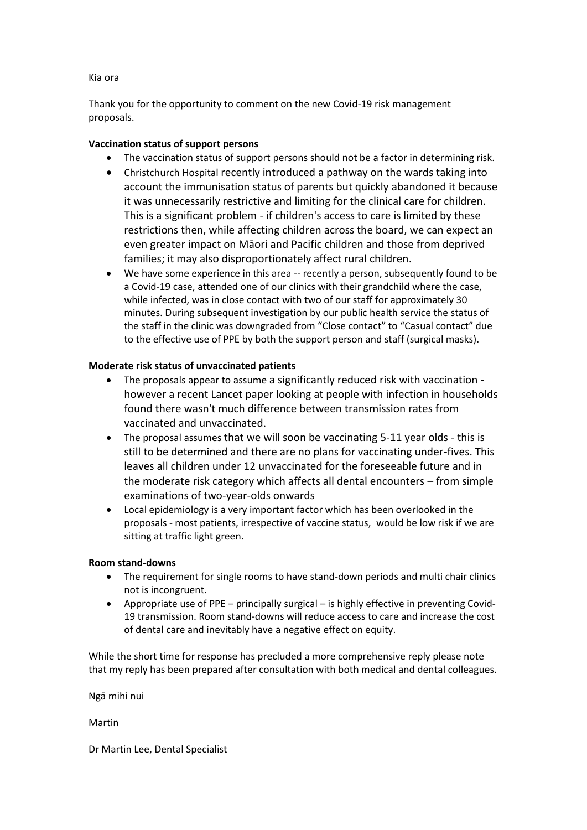## Kia ora

Thank you for the opportunity to comment on the new Covid-19 risk management proposals.

## **Vaccination status of support persons**

- The vaccination status of support persons should not be a factor in determining risk.
- Christchurch Hospital recently introduced a pathway on the wards taking into account the immunisation status of parents but quickly abandoned it because it was unnecessarily restrictive and limiting for the clinical care for children. This is a significant problem - if children's access to care is limited by these restrictions then, while affecting children across the board, we can expect an even greater impact on Māori and Pacific children and those from deprived families; it may also disproportionately affect rural children.
- We have some experience in this area -- recently a person, subsequently found to be a Covid-19 case, attended one of our clinics with their grandchild where the case, while infected, was in close contact with two of our staff for approximately 30 minutes. During subsequent investigation by our public health service the status of the staff in the clinic was downgraded from "Close contact" to "Casual contact" due to the effective use of PPE by both the support person and staff (surgical masks).

## **Moderate risk status of unvaccinated patients**

- The proposals appear to assume a significantly reduced risk with vaccination however a recent Lancet paper looking at people with infection in households found there wasn't much difference between transmission rates from vaccinated and unvaccinated.
- The proposal assumes that we will soon be vaccinating 5-11 year olds this is still to be determined and there are no plans for vaccinating under-fives. This leaves all children under 12 unvaccinated for the foreseeable future and in the moderate risk category which affects all dental encounters – from simple examinations of two-year-olds onwards
- Local epidemiology is a very important factor which has been overlooked in the proposals - most patients, irrespective of vaccine status, would be low risk if we are sitting at traffic light green.

## **Room stand-downs**

- The requirement for single rooms to have stand-down periods and multi chair clinics not is incongruent.
- Appropriate use of PPE principally surgical is highly effective in preventing Covid-19 transmission. Room stand-downs will reduce access to care and increase the cost of dental care and inevitably have a negative effect on equity.

While the short time for response has precluded a more comprehensive reply please note that my reply has been prepared after consultation with both medical and dental colleagues.

Ngā mihi nui

Martin

Dr Martin Lee, Dental Specialist